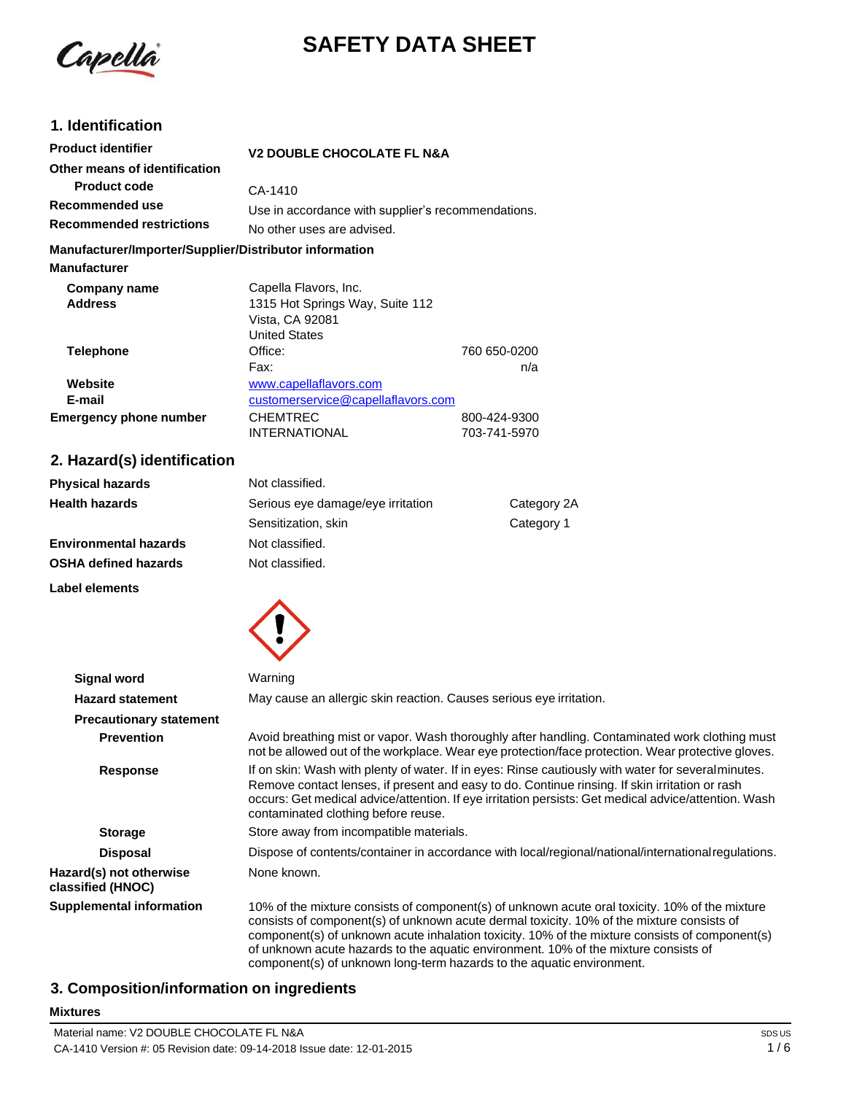

# **SAFETY DATA SHEET**

# **1. Identification**

| <b>Product identifier</b>                              | <b>V2 DOUBLE CHOCOLATE FL N&amp;A</b>              |              |
|--------------------------------------------------------|----------------------------------------------------|--------------|
| Other means of identification                          |                                                    |              |
| <b>Product code</b>                                    | CA-1410                                            |              |
| Recommended use                                        | Use in accordance with supplier's recommendations. |              |
| <b>Recommended restrictions</b>                        | No other uses are advised.                         |              |
| Manufacturer/Importer/Supplier/Distributor information |                                                    |              |
| <b>Manufacturer</b>                                    |                                                    |              |
| Company name                                           | Capella Flavors, Inc.                              |              |
| <b>Address</b>                                         | 1315 Hot Springs Way, Suite 112                    |              |
|                                                        | Vista, CA 92081                                    |              |
|                                                        | <b>United States</b>                               |              |
| <b>Telephone</b>                                       | Office:                                            | 760 650-0200 |
|                                                        | Fax:                                               | n/a          |
| Website                                                | www.capellaflavors.com                             |              |
| E-mail                                                 | customerservice@capellaflavors.com                 |              |
| Emergency phone number                                 | <b>CHEMTREC</b>                                    | 800-424-9300 |
|                                                        | INTERNATIONAL                                      | 703-741-5970 |

# **2. Hazard(s) identification**

| <b>Physical hazards</b>      | Not classified.                   |             |
|------------------------------|-----------------------------------|-------------|
| <b>Health hazards</b>        | Serious eye damage/eye irritation | Category 2A |
|                              | Sensitization, skin               | Category 1  |
| <b>Environmental hazards</b> | Not classified.                   |             |
| <b>OSHA defined hazards</b>  | Not classified.                   |             |

**Label elements**

**Mixtures**



| <b>Signal word</b>                           | Warning                                                                                                                                                                                                                                                                                                                                                                              |
|----------------------------------------------|--------------------------------------------------------------------------------------------------------------------------------------------------------------------------------------------------------------------------------------------------------------------------------------------------------------------------------------------------------------------------------------|
| <b>Hazard statement</b>                      | May cause an allergic skin reaction. Causes serious eye irritation.                                                                                                                                                                                                                                                                                                                  |
| <b>Precautionary statement</b>               |                                                                                                                                                                                                                                                                                                                                                                                      |
| <b>Prevention</b>                            | Avoid breathing mist or vapor. Wash thoroughly after handling. Contaminated work clothing must<br>not be allowed out of the workplace. Wear eye protection/face protection. Wear protective gloves.                                                                                                                                                                                  |
| <b>Response</b>                              | If on skin: Wash with plenty of water. If in eyes: Rinse cautiously with water for severalminutes.<br>Remove contact lenses, if present and easy to do. Continue rinsing. If skin irritation or rash<br>occurs: Get medical advice/attention. If eye irritation persists: Get medical advice/attention. Wash<br>contaminated clothing before reuse.                                  |
| <b>Storage</b>                               | Store away from incompatible materials.                                                                                                                                                                                                                                                                                                                                              |
| <b>Disposal</b>                              | Dispose of contents/container in accordance with local/regional/national/internationalregulations.                                                                                                                                                                                                                                                                                   |
| Hazard(s) not otherwise<br>classified (HNOC) | None known.                                                                                                                                                                                                                                                                                                                                                                          |
| <b>Supplemental information</b>              | 10% of the mixture consists of component(s) of unknown acute oral toxicity. 10% of the mixture<br>consists of component(s) of unknown acute dermal toxicity. 10% of the mixture consists of<br>component(s) of unknown acute inhalation toxicity. 10% of the mixture consists of component(s)<br>of unknown acute hazards to the aquatic environment. 10% of the mixture consists of |

component(s) of unknown long-term hazards to the aquatic environment.

# **3. Composition/information on ingredients**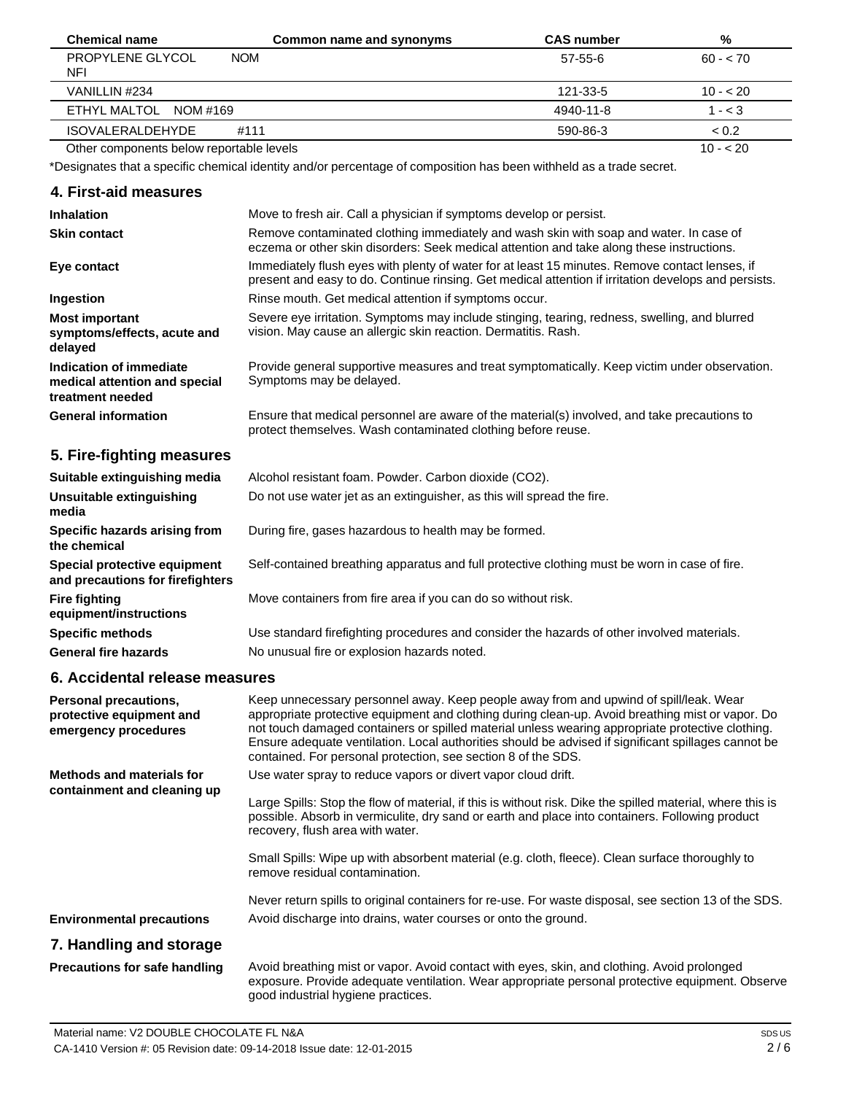| <b>Chemical name</b>                     | Common name and synonyms | <b>CAS number</b> | %         |
|------------------------------------------|--------------------------|-------------------|-----------|
| PROPYLENE GLYCOL<br><b>NOM</b><br>NFI    |                          | 57-55-6           | $60 - 70$ |
| VANILLIN #234                            |                          | 121-33-5          | $10 - 20$ |
| ETHYL MALTOL NOM #169                    |                          | 4940-11-8         | $1 - < 3$ |
| <b>ISOVALERALDEHYDE</b><br>#111          |                          | 590-86-3          | < 0.2     |
| Other components below reportable levels |                          |                   | $10 - 20$ |

Other components below reportable levels

\*Designates that a specific chemical identity and/or percentage of composition has been withheld as a trade secret.

# **4. First-aid measures**

| <b>Inhalation</b>                                                            | Move to fresh air. Call a physician if symptoms develop or persist.                                                                                                                                    |
|------------------------------------------------------------------------------|--------------------------------------------------------------------------------------------------------------------------------------------------------------------------------------------------------|
| <b>Skin contact</b>                                                          | Remove contaminated clothing immediately and wash skin with soap and water. In case of<br>eczema or other skin disorders: Seek medical attention and take along these instructions.                    |
| Eye contact                                                                  | Immediately flush eyes with plenty of water for at least 15 minutes. Remove contact lenses, if<br>present and easy to do. Continue rinsing. Get medical attention if irritation develops and persists. |
| Ingestion                                                                    | Rinse mouth. Get medical attention if symptoms occur.                                                                                                                                                  |
| <b>Most important</b><br>symptoms/effects, acute and<br>delayed              | Severe eye irritation. Symptoms may include stinging, tearing, redness, swelling, and blurred<br>vision. May cause an allergic skin reaction. Dermatitis. Rash.                                        |
| Indication of immediate<br>medical attention and special<br>treatment needed | Provide general supportive measures and treat symptomatically. Keep victim under observation.<br>Symptoms may be delayed.                                                                              |
| <b>General information</b>                                                   | Ensure that medical personnel are aware of the material(s) involved, and take precautions to<br>protect themselves. Wash contaminated clothing before reuse.                                           |
| 5. Fire-fighting measures                                                    |                                                                                                                                                                                                        |
| Suitable extinguishing media                                                 | Alcohol resistant foam. Powder. Carbon dioxide (CO2).                                                                                                                                                  |
| Unsuitable extinguishing<br>media                                            | Do not use water jet as an extinguisher, as this will spread the fire.                                                                                                                                 |
| Specific hazards arising from<br>the chemical                                | During fire, gases hazardous to health may be formed.                                                                                                                                                  |

**Special protective equipment and precautions for firefighters** Self-contained breathing apparatus and full protective clothing must be worn in case of fire. Move containers from fire area if you can do so without risk.

**equipment/instructions Specific methods General fire hazards** Use standard firefighting procedures and consider the hazards of other involved materials. No unusual fire or explosion hazards noted.

### **6. Accidental release measures**

**Fire fighting**

| Personal precautions,<br>protective equipment and<br>emergency procedures | Keep unnecessary personnel away. Keep people away from and upwind of spill/leak. Wear<br>appropriate protective equipment and clothing during clean-up. Avoid breathing mist or vapor. Do<br>not touch damaged containers or spilled material unless wearing appropriate protective clothing.<br>Ensure adequate ventilation. Local authorities should be advised if significant spillages cannot be<br>contained. For personal protection, see section 8 of the SDS. |
|---------------------------------------------------------------------------|-----------------------------------------------------------------------------------------------------------------------------------------------------------------------------------------------------------------------------------------------------------------------------------------------------------------------------------------------------------------------------------------------------------------------------------------------------------------------|
| <b>Methods and materials for</b><br>containment and cleaning up           | Use water spray to reduce vapors or divert vapor cloud drift.<br>Large Spills: Stop the flow of material, if this is without risk. Dike the spilled material, where this is<br>possible. Absorb in vermiculite, dry sand or earth and place into containers. Following product<br>recovery, flush area with water.                                                                                                                                                    |
|                                                                           | Small Spills: Wipe up with absorbent material (e.g. cloth, fleece). Clean surface thoroughly to<br>remove residual contamination.                                                                                                                                                                                                                                                                                                                                     |
|                                                                           | Never return spills to original containers for re-use. For waste disposal, see section 13 of the SDS.                                                                                                                                                                                                                                                                                                                                                                 |
| <b>Environmental precautions</b>                                          | Avoid discharge into drains, water courses or onto the ground.                                                                                                                                                                                                                                                                                                                                                                                                        |
| 7. Handling and storage                                                   |                                                                                                                                                                                                                                                                                                                                                                                                                                                                       |
| <b>Precautions for safe handling</b>                                      | Avoid breathing mist or vapor. Avoid contact with eyes, skin, and clothing. Avoid prolonged<br>exposure. Provide adequate ventilation. Wear appropriate personal protective equipment. Observe                                                                                                                                                                                                                                                                        |

good industrial hygiene practices.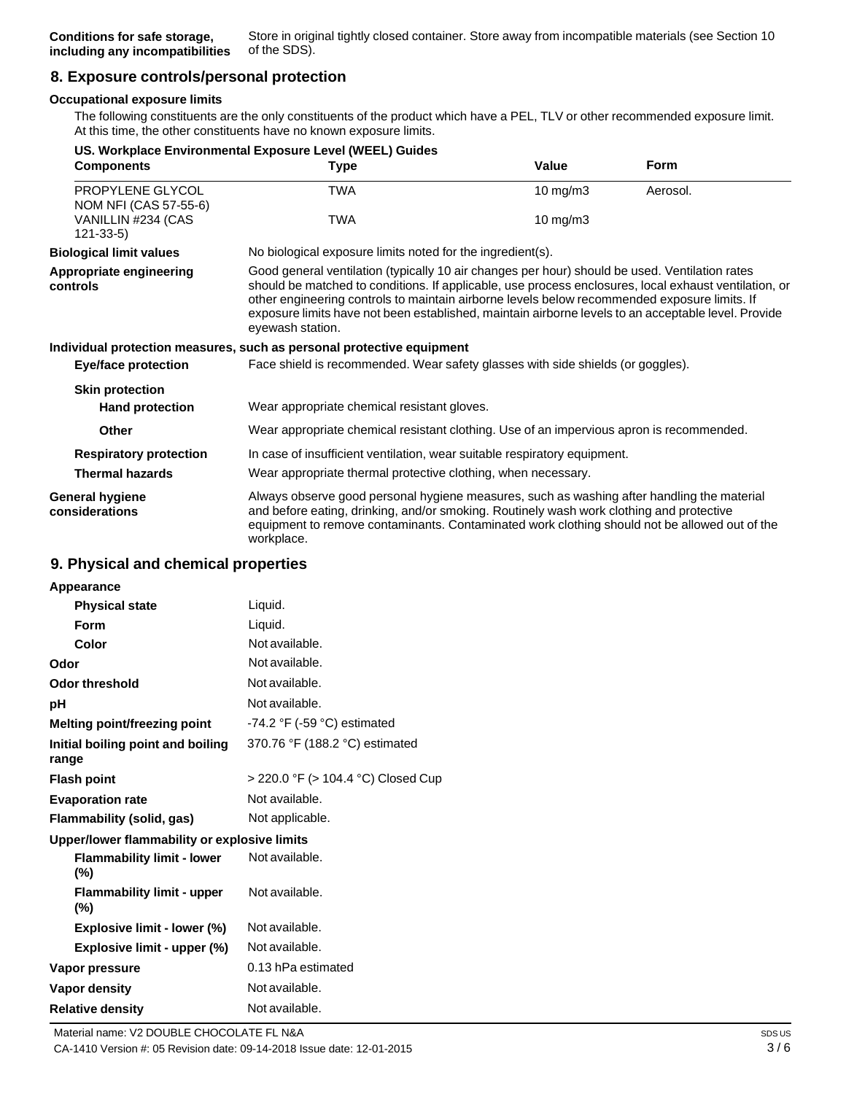# **8. Exposure controls/personal protection**

#### **Occupational exposure limits**

The following constituents are the only constituents of the product which have a PEL, TLV or other recommended exposure limit. At this time, the other constituents have no known exposure limits.

|                                           | US. Workplace Environmental Exposure Level (WEEL) Guides                                                                                                                                                                                                                                                                                                                                                                           |                                                            |             |  |
|-------------------------------------------|------------------------------------------------------------------------------------------------------------------------------------------------------------------------------------------------------------------------------------------------------------------------------------------------------------------------------------------------------------------------------------------------------------------------------------|------------------------------------------------------------|-------------|--|
| <b>Components</b>                         | <b>Type</b>                                                                                                                                                                                                                                                                                                                                                                                                                        | Value                                                      | <b>Form</b> |  |
| PROPYLENE GLYCOL<br>NOM NFI (CAS 57-55-6) | <b>TWA</b>                                                                                                                                                                                                                                                                                                                                                                                                                         | $10 \text{ mg/m}$ 3                                        | Aerosol.    |  |
| VANILLIN #234 (CAS<br>$121 - 33 - 5$      | <b>TWA</b>                                                                                                                                                                                                                                                                                                                                                                                                                         | 10 mg/m3                                                   |             |  |
| <b>Biological limit values</b>            |                                                                                                                                                                                                                                                                                                                                                                                                                                    | No biological exposure limits noted for the ingredient(s). |             |  |
| Appropriate engineering<br>controls       | Good general ventilation (typically 10 air changes per hour) should be used. Ventilation rates<br>should be matched to conditions. If applicable, use process enclosures, local exhaust ventilation, or<br>other engineering controls to maintain airborne levels below recommended exposure limits. If<br>exposure limits have not been established, maintain airborne levels to an acceptable level. Provide<br>eyewash station. |                                                            |             |  |
|                                           | Individual protection measures, such as personal protective equipment                                                                                                                                                                                                                                                                                                                                                              |                                                            |             |  |
| <b>Eye/face protection</b>                | Face shield is recommended. Wear safety glasses with side shields (or goggles).                                                                                                                                                                                                                                                                                                                                                    |                                                            |             |  |
| <b>Skin protection</b>                    |                                                                                                                                                                                                                                                                                                                                                                                                                                    |                                                            |             |  |
| <b>Hand protection</b>                    | Wear appropriate chemical resistant gloves.                                                                                                                                                                                                                                                                                                                                                                                        |                                                            |             |  |
| Other                                     | Wear appropriate chemical resistant clothing. Use of an impervious apron is recommended.                                                                                                                                                                                                                                                                                                                                           |                                                            |             |  |
| <b>Respiratory protection</b>             | In case of insufficient ventilation, wear suitable respiratory equipment.                                                                                                                                                                                                                                                                                                                                                          |                                                            |             |  |
| <b>Thermal hazards</b>                    | Wear appropriate thermal protective clothing, when necessary.                                                                                                                                                                                                                                                                                                                                                                      |                                                            |             |  |
| <b>General hygiene</b><br>considerations  | Always observe good personal hygiene measures, such as washing after handling the material<br>and before eating, drinking, and/or smoking. Routinely wash work clothing and protective<br>equipment to remove contaminants. Contaminated work clothing should not be allowed out of the<br>workplace.                                                                                                                              |                                                            |             |  |

### **9. Physical and chemical properties**

| Appearance                                   |                                    |
|----------------------------------------------|------------------------------------|
| <b>Physical state</b>                        | Liquid.                            |
| Form                                         | Liquid.                            |
| Color                                        | Not available.                     |
| Odor                                         | Not available.                     |
| Odor threshold                               | Not available.                     |
| рH                                           | Not available.                     |
| Melting point/freezing point                 | -74.2 °F (-59 °C) estimated        |
| Initial boiling point and boiling<br>range   | 370.76 °F (188.2 °C) estimated     |
| <b>Flash point</b>                           | > 220.0 °F (> 104.4 °C) Closed Cup |
| <b>Evaporation rate</b>                      | Not available.                     |
| Flammability (solid, gas)                    | Not applicable.                    |
| Upper/lower flammability or explosive limits |                                    |
| <b>Flammability limit - lower</b><br>(%)     | Not available.                     |
| <b>Flammability limit - upper</b><br>$(\%)$  | Not available.                     |
| Explosive limit - lower (%)                  | Not available.                     |
| Explosive limit - upper (%)                  | Not available.                     |
| Vapor pressure                               | 0.13 hPa estimated                 |
| Vapor density                                | Not available.                     |
| <b>Relative density</b>                      | Not available.                     |
|                                              |                                    |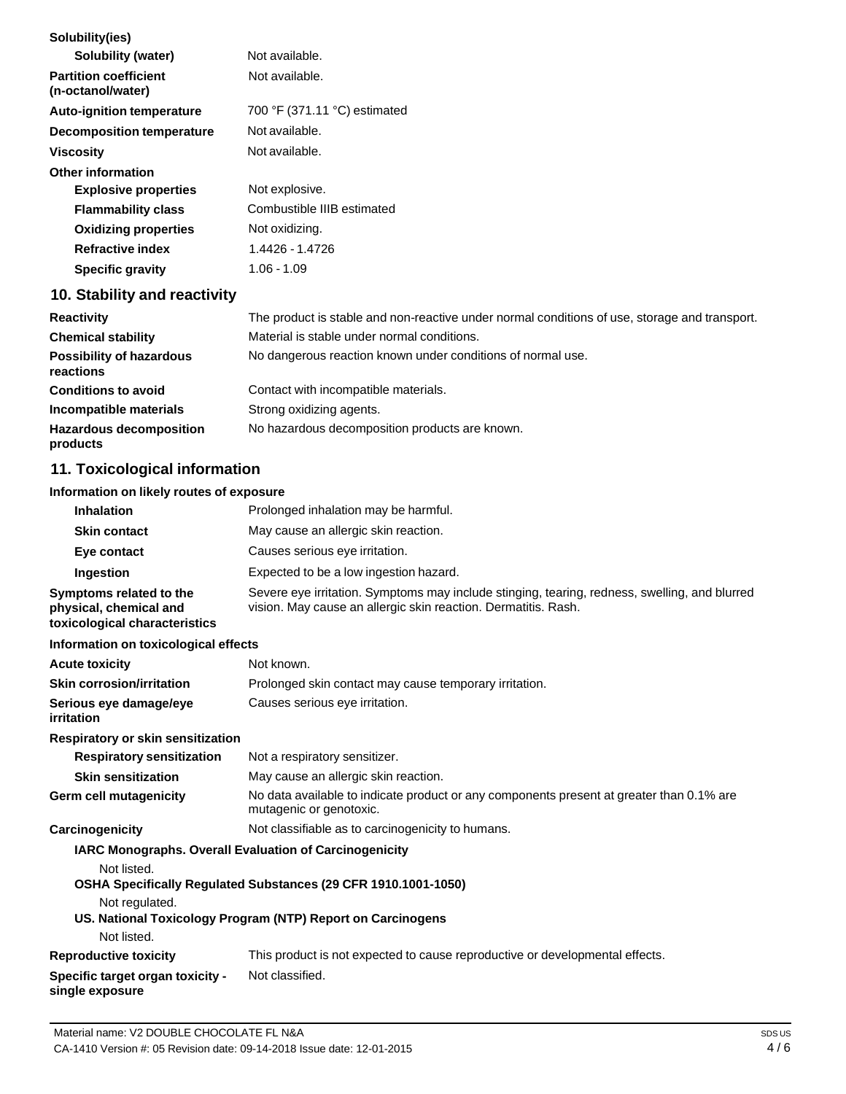| Solubility(ies)                                   |                              |
|---------------------------------------------------|------------------------------|
| Solubility (water)                                | Not available.               |
| <b>Partition coefficient</b><br>(n-octanol/water) | Not available.               |
| <b>Auto-ignition temperature</b>                  | 700 °F (371.11 °C) estimated |
| Decomposition temperature                         | Not available.               |
| <b>Viscosity</b>                                  | Not available.               |
| <b>Other information</b>                          |                              |
| <b>Explosive properties</b>                       | Not explosive.               |
| <b>Flammability class</b>                         | Combustible IIIB estimated   |
| <b>Oxidizing properties</b>                       | Not oxidizing.               |
| <b>Refractive index</b>                           | 1.4426 - 1.4726              |
| <b>Specific gravity</b>                           | 1.06 - 1.09                  |
|                                                   |                              |

## **10. Stability and reactivity**

| <b>Reactivity</b>                            | The product is stable and non-reactive under normal conditions of use, storage and transport. |
|----------------------------------------------|-----------------------------------------------------------------------------------------------|
| <b>Chemical stability</b>                    | Material is stable under normal conditions.                                                   |
| <b>Possibility of hazardous</b><br>reactions | No dangerous reaction known under conditions of normal use.                                   |
| <b>Conditions to avoid</b>                   | Contact with incompatible materials.                                                          |
| Incompatible materials                       | Strong oxidizing agents.                                                                      |
| <b>Hazardous decomposition</b><br>products   | No hazardous decomposition products are known.                                                |

# **11. Toxicological information**

#### **Information on likely routes of exposure**

| <b>Inhalation</b>                                                                  | Prolonged inhalation may be harmful.                                                                                                                            |
|------------------------------------------------------------------------------------|-----------------------------------------------------------------------------------------------------------------------------------------------------------------|
| <b>Skin contact</b>                                                                | May cause an allergic skin reaction.                                                                                                                            |
| Eye contact                                                                        | Causes serious eye irritation.                                                                                                                                  |
| Ingestion                                                                          | Expected to be a low ingestion hazard.                                                                                                                          |
| Symptoms related to the<br>physical, chemical and<br>toxicological characteristics | Severe eye irritation. Symptoms may include stinging, tearing, redness, swelling, and blurred<br>vision. May cause an allergic skin reaction. Dermatitis. Rash. |

#### **Information on toxicological effects**

| <b>Acute toxicity</b>                | Not known.                                             |
|--------------------------------------|--------------------------------------------------------|
| <b>Skin corrosion/irritation</b>     | Prolonged skin contact may cause temporary irritation. |
| Serious eye damage/eye<br>irritation | Causes serious eye irritation.                         |

#### **Respiratory or skin sensitization**

| <b>Respiratory sensitization</b>                                                                                                              | Not a respiratory sensitizer.                     |
|-----------------------------------------------------------------------------------------------------------------------------------------------|---------------------------------------------------|
| <b>Skin sensitization</b>                                                                                                                     | May cause an allergic skin reaction.              |
| No data available to indicate product or any components present at greater than 0.1% are<br>Germ cell mutagenicity<br>mutagenic or genotoxic. |                                                   |
| Carcinogenicity                                                                                                                               | Not classifiable as to carcinogenicity to humans. |

# **IARC Monographs. Overall Evaluation of Carcinogenicity**

Not listed.

**single exposure**

**OSHA Specifically Regulated Substances (29 CFR 1910.1001-1050)**

Not regulated.

### **US. National Toxicology Program (NTP) Report on Carcinogens** Not listed.

**Reproductive toxicity Specific target organ toxicity -** This product is not expected to cause reproductive or developmental effects. Not classified.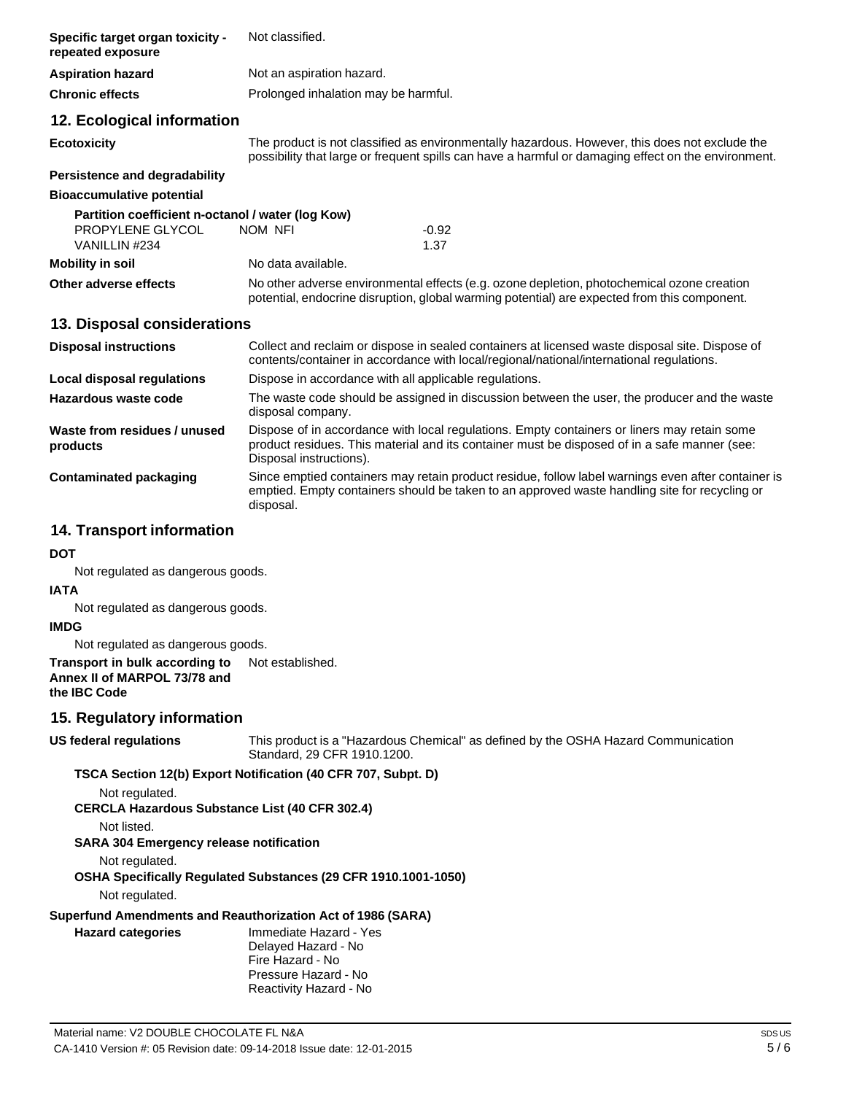| Specific target organ toxicity -<br>repeated exposure                                  | Not classified.                                                                                                                                                                                                        |
|----------------------------------------------------------------------------------------|------------------------------------------------------------------------------------------------------------------------------------------------------------------------------------------------------------------------|
| <b>Aspiration hazard</b>                                                               | Not an aspiration hazard.                                                                                                                                                                                              |
| <b>Chronic effects</b>                                                                 | Prolonged inhalation may be harmful.                                                                                                                                                                                   |
| 12. Ecological information                                                             |                                                                                                                                                                                                                        |
| <b>Ecotoxicity</b>                                                                     | The product is not classified as environmentally hazardous. However, this does not exclude the<br>possibility that large or frequent spills can have a harmful or damaging effect on the environment.                  |
| <b>Persistence and degradability</b>                                                   |                                                                                                                                                                                                                        |
| <b>Bioaccumulative potential</b>                                                       |                                                                                                                                                                                                                        |
| Partition coefficient n-octanol / water (log Kow)<br>PROPYLENE GLYCOL<br>VANILLIN #234 | NOM NFI<br>$-0.92$<br>1.37                                                                                                                                                                                             |
| <b>Mobility in soil</b>                                                                | No data available.                                                                                                                                                                                                     |
| Other adverse effects                                                                  | No other adverse environmental effects (e.g. ozone depletion, photochemical ozone creation<br>potential, endocrine disruption, global warming potential) are expected from this component.                             |
| 13. Disposal considerations                                                            |                                                                                                                                                                                                                        |
| <b>Disposal instructions</b>                                                           | Collect and reclaim or dispose in sealed containers at licensed waste disposal site. Dispose of<br>contents/container in accordance with local/regional/national/international regulations.                            |
| <b>Local disposal regulations</b>                                                      | Dispose in accordance with all applicable regulations.                                                                                                                                                                 |
| Hazardous waste code                                                                   | The waste code should be assigned in discussion between the user, the producer and the waste<br>disposal company.                                                                                                      |
| Waste from residues / unused<br>products                                               | Dispose of in accordance with local regulations. Empty containers or liners may retain some<br>product residues. This material and its container must be disposed of in a safe manner (see:<br>Disposal instructions). |
| <b>Contaminated packaging</b>                                                          | Since emptied containers may retain product residue, follow label warnings even after container is<br>emptied. Empty containers should be taken to an approved waste handling site for recycling or<br>disposal.       |
| <b>14. Transport information</b>                                                       |                                                                                                                                                                                                                        |

**DOT**

Not regulated as dangerous goods.

#### **IATA**

Not regulated as dangerous goods.

## **IMDG**

Not regulated as dangerous goods.

#### **Transport in bulk according to Annex II of MARPOL 73/78 and the IBC Code** Not established.

## **15. Regulatory information**

**US federal regulations**

This product is a "Hazardous Chemical" as defined by the OSHA Hazard Communication Standard, 29 CFR 1910.1200.

### **TSCA Section 12(b) Export Notification (40 CFR 707, Subpt. D)**

Not regulated.

**CERCLA Hazardous Substance List (40 CFR 302.4)**

Not listed.

**SARA 304 Emergency release notification**

Not regulated.

**OSHA Specifically Regulated Substances (29 CFR 1910.1001-1050)**

Not regulated.

# **Superfund Amendments and Reauthorization Act of 1986 (SARA)**

| <b>Hazard categories</b> |  |
|--------------------------|--|
|                          |  |

**Hazard categories** Immediate Hazard - Yes Delayed Hazard - No Fire Hazard - No Pressure Hazard - No Reactivity Hazard - No